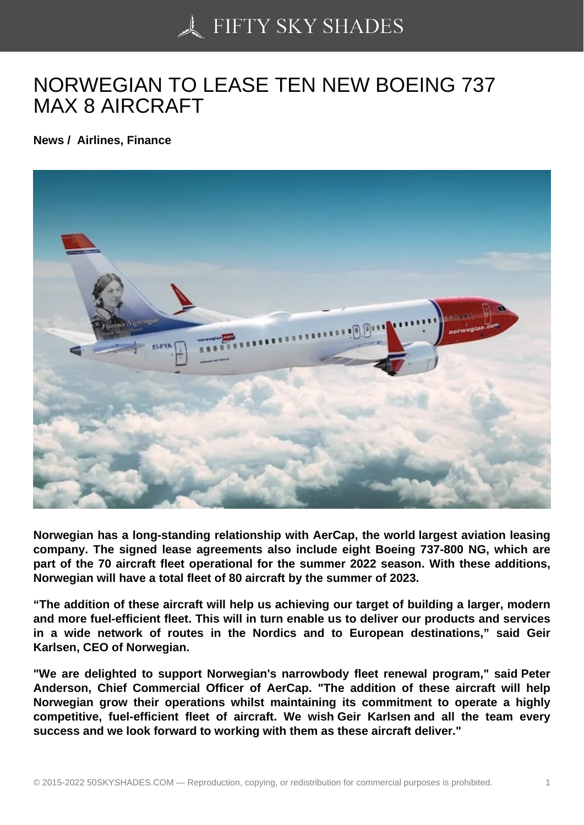## [NORWEGIAN TO LEA](https://50skyshades.com)SE TEN NEW BOEING 737 MAX 8 AIRCRAFT

News / Airlines, Finance

Norwegian has a long-standing relationship with AerCap, the world largest aviation leasing company. The signed lease agreements also include eight Boeing 737-800 NG, which are part of the 70 aircraft fleet operational for the summer 2022 season. With these additions, Norwegian will have a total fleet of 80 aircraft by the summer of 2023.

"The addition of these aircraft will help us achieving our target of building a larger, modern and more fuel-efficient fleet. This will in turn enable us to deliver our products and services in a wide network of routes in the Nordics and to European destinations," said Geir Karlsen, CEO of Norwegian.

"We are delighted to support Norwegian's narrowbody fleet renewal program," said Peter Anderson, Chief Commercial Officer of AerCap. "The addition of these aircraft will help Norwegian grow their operations whilst maintaining its commitment to operate a highly competitive, fuel-efficient fleet of aircraft. We wish Geir Karlsen and all the team every success and we look forward to working with them as these aircraft deliver."